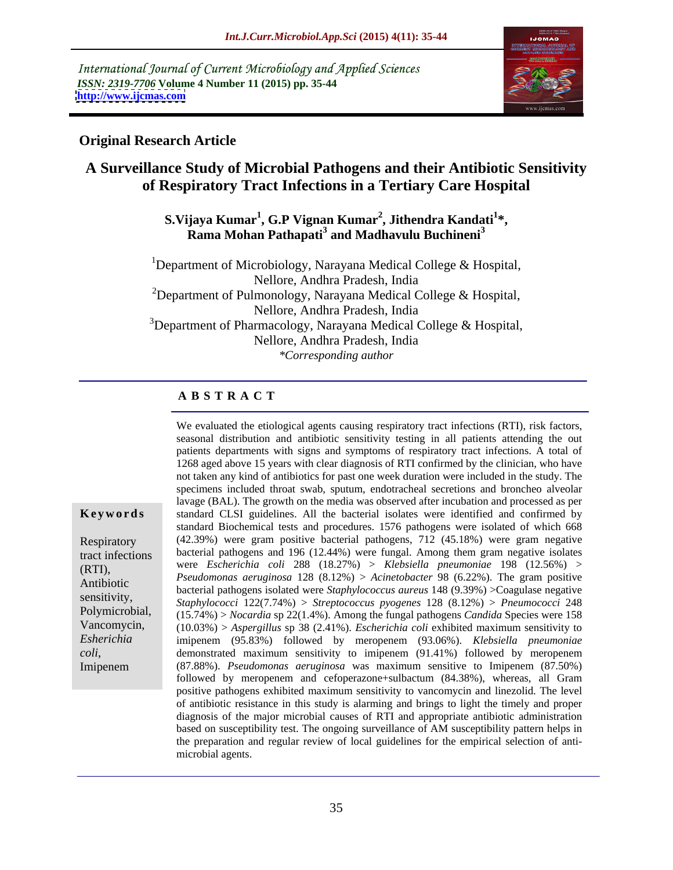International Journal of Current Microbiology and Applied Sciences *ISSN: 2319-7706* **Volume 4 Number 11 (2015) pp. 35-44 <http://www.ijcmas.com>**



## **Original Research Article**

# **A Surveillance Study of Microbial Pathogens and their Antibiotic Sensitivity of Respiratory Tract Infections in a Tertiary Care Hospital**

**S.Vijaya Kumar<sup>1</sup> , G.P Vignan Kumar<sup>2</sup> , Jithendra Kandati<sup>1</sup> \*, Rama Mohan Pathapati<sup>3</sup> and Madhavulu Buchineni<sup>3</sup>**

<sup>1</sup>Department of Microbiology, Narayana Medical College  $\&$  Hospital, Nellore, Andhra Pradesh, India <sup>2</sup>Department of Pulmonology, Narayana Medical College  $\&$  Hospital, Nellore, Andhra Pradesh, India <sup>3</sup>Department of Pharmacology, Narayana Medical College & Hospital, Nellore, Andhra Pradesh, India *\*Corresponding author*

### **A B S T R A C T**

We evaluated the etiological agents causing respiratory tract infections (RTI), risk factors, seasonal distribution and antibiotic sensitivity testing in all patients attending the out patients departments with signs and symptoms of respiratory tract infections. A totalof 1268 aged above 15 years with clear diagnosis of RTI confirmed by the clinician, who have not taken any kind of antibiotics for past one week duration were included in the study. The specimens included throat swab, sputum, endotracheal secretions and broncheo alveolar lavage (BAL). The growth on the media was observed after incubation and processed as per standard CLSI guidelines. All the bacterial isolates were identified and confirmed by **Ke ywo rds** standard Biochemical tests and procedures. 1576 pathogens were isolated of which 668 (42.39%) were gram positive bacterial pathogens, 712 (45.18%) were gram negative Respiratory tract infections bacterial pathogens and 196 (12.44%) were fungal. Among them gram negative isolates were *Escherichia coli* 288 (18.27%) > *Klebsiella pneumoniae* 198 (12.56%) > (RTI), *Pseudomonas aeruginosa* 128 (8.12%) > *Acinetobacter* 98 (6.22%). The gram positive Antibiotic bacterial pathogens isolated were *Staphylococcus aureus* 148 (9.39%) >Coagulase negative *Staphylococci* 122(7.74%) > *Streptococcus pyogenes* 128 (8.12%) > *Pneumococci* 248 sensitivity, Polymicrobial, (15.74%) > *Nocardia* sp 22(1.4%). Among the fungal pathogens *Candida* Species were 158 Vancomycin,  $(10.03\%) > Aspergillus$  sp 38 (2.41%). *Escherichia coli* exhibited maximum sensitivity to imipenem (95.83%) followed by meropenem (93.06%). *Klebsiella pneumoniae Esherichia*  demonstrated maximum sensitivity to imipenem (91.41%) followed by meropenem (87.88%). *Pseudomonas aeruginosa* was maximum sensitive to Imipenem (87.50%) followed by meropenem and cefoperazone+sulbactum (84.38%), whereas, all Gram positive pathogens exhibited maximum sensitivity to vancomycin and linezolid. The level of antibiotic resistance in this study is alarming and brings to light the timely and proper diagnosis of the major microbial causes of RTI and appropriate antibiotic administration based on susceptibility test. The ongoing surveillance of AM susceptibility pattern helps in the preparation and regular review of local guidelines for the empirical selection of anti microbial agents.

*coli*, Imipenem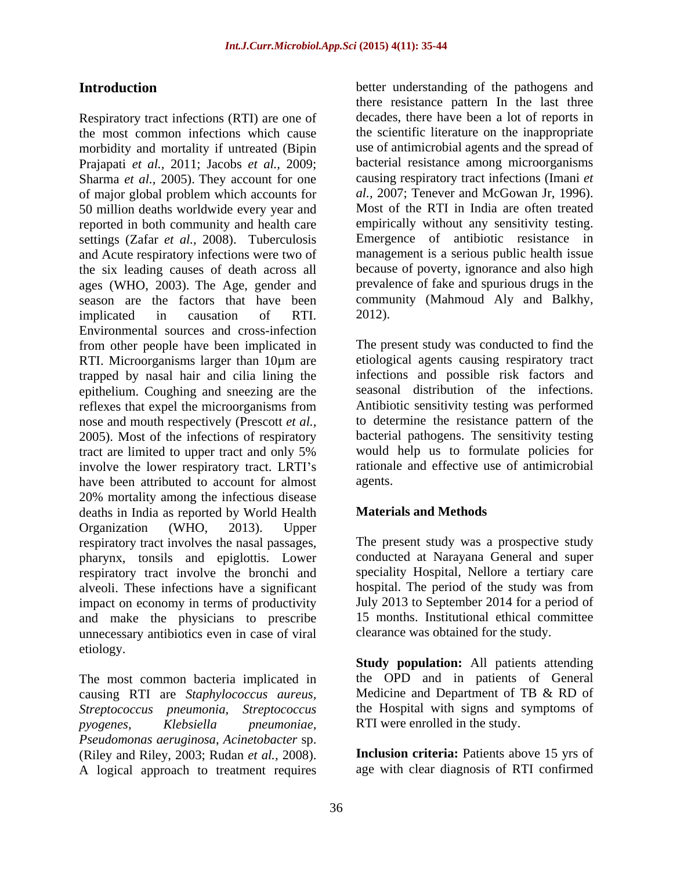Respiratory tract infections (RTI) are one of the most common infections which cause morbidity and mortality if untreated (Bipin Prajapati *et al.,* 2011; Jacobs *et al.,* 2009; Sharma *et al.*, 2005). They account for one causing respiratory tract infections (Imani *et* of maior global problem which accounts for *al.*, 2007; Tenever and McGowan Jr, 1996). of major global problem which accounts for *al.*, 2007; Tenever and McGowan Jr, 1996).<br>50 million deaths worldwide every year and Most of the RTI in India are often treated 50 million deaths worldwide every year and reported in both community and health care settings (Zafar *et al.*, 2008). Tuberculosis and Acute respiratory infections were two of the six leading causes of death across all ages (WHO, 2003). The Age, gender and prevalence of fake and spurious drugs in the season are the factors that have been community (Mahmoud Aly and Balkhy, season are the factors that have been implicated in causation of RTI. Environmental sources and cross-infection<br>
From other prophetic have been implicated in<br>
The present study was conducted to find the from other people have been implicated in RTI. Microorganisms larger than 10 $\mu$ m are trapped by nasal hair and cilia lining the epithelium. Coughing and sneezing are the reflexes that expel the microorganisms from nose and mouth respectively (Prescott *et al.,* 2005). Most of the infections of respiratory tract are limited to upper tract and only 5% involve the lower respiratory tract. LRTI's have been attributed to account for almost agents. 20% mortality among the infectious disease deaths in India as reported by World Health **Materials and Methods** Organization (WHO, 2013). Upper respiratory tract involves the nasal passages, pharynx, tonsils and epiglottis. Lower respiratory tract involve the bronchi and alveoli. These infections have a significant impact on economy in terms of productivity and make the physicians to prescribe unnecessary antibiotics even in case of viral etiology.

The most common bacteria implicated in causing RTI are *Staphylococcus aureus, Streptococcus pneumonia, Streptococcus pyogenes, Klebsiella pneumoniae,* RTI were enrolled in the study. *Pseudomonas aeruginosa*, *Acinetobacter* sp. (Riley and Riley, 2003; Rudan *et al.,* 2008). A logical approach to treatment requires

**Introduction better** understanding of the pathogens and there resistance pattern In the last three decades, there have been a lot of reports in the scientific literature on the inappropriate use of antimicrobial agents and the spread of bacterial resistance among microorganisms causing respiratory tract infections (Imani *et al.,* 2007; Tenever and McGowan Jr, 1996). Most of the RTI in India are often treated empirically without any sensitivity testing. Emergence of antibiotic resistance in management is a serious public health issue because of poverty, ignorance and also high prevalence of fake and spurious drugs in the community (Mahmoud Aly and Balkhy, 2012).<br>The present study was conducted to find the

etiological agents causing respiratory tract infections and possible risk factors and seasonal distribution of the infections. Antibiotic sensitivity testing was performed to determine the resistance pattern of the bacterial pathogens. The sensitivity testing would help us to formulate policies for rationale and effective use of antimicrobial agents.

## **Materials and Methods**

The present study was a prospective study conducted at Narayana General and super speciality Hospital, Nellore a tertiary care hospital. The period of the study was from July 2013 to September 2014 for a period of 15 months. Institutional ethical committee clearance was obtained for the study.

**Study population:** All patients attending the OPD and in patients of General Medicine and Department of TB & RD of the Hospital with signs and symptoms of

**Inclusion criteria:** Patients above 15 yrs of age with clear diagnosis of RTI confirmed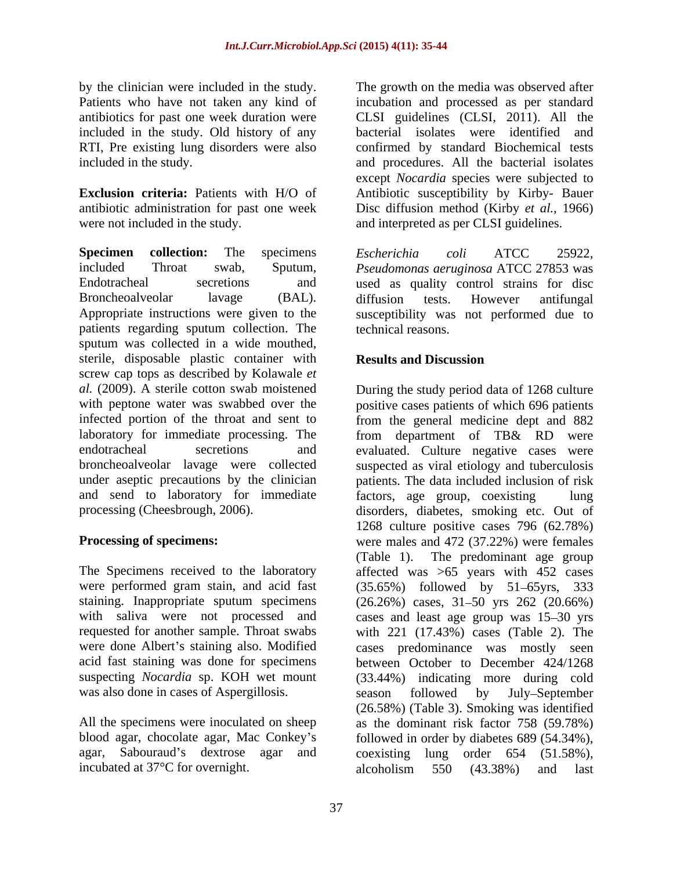were not included in the study.  $\blacksquare$  and interpreted as per CLSI guidelines.

**Specimen collection:** The specimens included Throat swab, Sputum, *Pseudomonas aeruginosa* ATCC 27853 was Endotracheal secretions and used as quality control strains for disc Broncheoalveolar lavage (BAL). diffusion tests. However antifungal Appropriate instructions were given to the susceptibility was not performed due to patients regarding sputum collection. The sputum was collected in a wide mouthed, sterile, disposable plastic container with **Results and Discussion** screw cap tops as described by Kolawale *et al.* (2009). A sterile cotton swab moistened During the study period data of 1268 culture with peptone water was swabbed over the positive cases patients of which 696 patients infected portion of the throat and sent to from the general medicine dept and 882 laboratory for immediate processing. The from department of TB& RD were endotracheal secretions and evaluated. Culture negative cases were broncheoalveolar lavage were collected suspected as viral etiology and tuberculosis under aseptic precautions by the clinician patients. The data included inclusion of risk and send to laboratory for immediate factors, age group, coexisting lung

was also done in cases of Aspergillosis. Season followed by July-September

blood agar, chocolate agar, Mac Conkey's followed in order by diabetes 689 (54.34%), agar, Sabouraud's dextrose agar and coexisting lung order 654 (51.58%), incubated at 37<sup>o</sup>C for overnight. alcoholism 550 (43.38%) and last

by the clinician were included in the study. The growth on the media was observed after Patients who have not taken any kind of incubation and processed as per standard antibiotics for past one week duration were CLSI guidelines (CLSI, 2011). All the included in the study. Old history of any bacterial isolates were identified and RTI, Pre existing lung disorders were also confirmed by standard Biochemical tests included in the study. and procedures. All the bacterial isolates **Exclusion criteria:** Patients with H/O of Antibiotic susceptibility by Kirby- Bauer antibiotic administration for past one week Disc diffusion method (Kirby *et al.,* 1966) except *Nocardia* species were subjected to

> *Escherichia coli* ATCC <sup>25922</sup>*, Pseudomonas aeruginosa* ATCC <sup>27853</sup> was diffusion tests. However antifungal technical reasons.

### **Results and Discussion**

processing (Cheesbrough, 2006). disorders, diabetes, smoking etc. Out of **Processing of specimens:** were males and 472 (37.22%) were females The Specimens received to the laboratory affected was >65 years with 452 cases were performed gram stain, and acid fast (35.65%) followed by 51–65yrs, 333 staining. Inappropriate sputum specimens (26.26%) cases, 31 50 yrs 262 (20.66%) with saliva were not processed and cases and least age group was 15–30 yrs requested for another sample. Throat swabs with 221 (17.43%) cases (Table 2). The were done Albert's staining also. Modified cases predominance was mostly seen acid fast staining was done for specimens between October to December 424/1268 suspecting *Nocardia* sp. KOH wet mount (33.44%) indicating more during cold All the specimens were inoculated on sheep as the dominant risk factor 758 (59.78%) factors, age group, coexisting 1268 culture positive cases 796 (62.78%) (Table 1). The predominant age group season followed by July–September (26.58%) (Table 3). Smoking was identified followed in order by diabetes 689 (54.34%),<br>coexisting lung order 654 (51.58%),<br>alcoholism 550 (43.38%) and last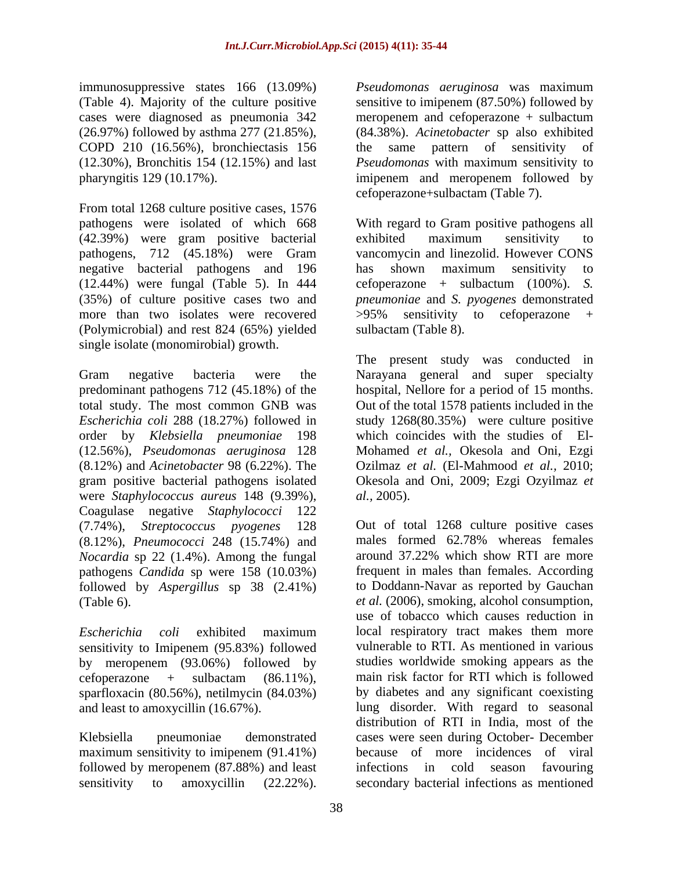immunosuppressive states 166 (13.09%) *Pseudomonas aeruginosa* was maximum (Table 4). Majority of the culture positive sensitive to imipenem (87.50%) followed by cases were diagnosed as pneumonia 342 (26.97%) followed by asthma 277 (21.85%),  $(84.38\%)$ . Acinetobacter sp also exhibited COPD 210 (16.56%), bronchiectasis 156 the same pattern of sensitivity of (12.30%), Bronchitis 154 (12.15%) and last *Pseudomonas* with maximum sensitivity to pharyngitis 129 (10.17%). imipenem and meropenem followed by

From total 1268 culture positive cases, 1576 pathogens were isolated of which 668 (42.39%) were gram positive bacterial pathogens, 712 (45.18%) were Gram negative bacterial pathogens and 196 has shown maximum sensitivity to  $(12.44\%)$  were fungal (Table 5). In 444 cefoperazone + sulbactum  $(100\%)$ . S. (35%) of culture positive cases two and *pneumoniae* and *S. pyogenes* demonstrated more than two isolates were recovered  $>95\%$  sensitivity to cefoperazone + (Polymicrobial) and rest 824 (65%) yielded single isolate (monomirobial) growth.

order by *Klebsiella pneumoniae* 198 were *Staphylococcus aureus* <sup>148</sup> (9.39%), Coagulase negative *Staphylococci* <sup>122</sup> (8.12%), *Pneumococci* 248 (15.74%) and *Nocardia* sp 22 (1.4%). Among the fungal pathogens *Candida* sp were 158 (10.03%)

sensitivity to Imipenem (95.83%) followed by meropenem (93.06%) followed by sparfloxacin (80.56%), netilmycin (84.03%)

maximum sensitivity to imipenem (91.41%) followed by meropenem (87.88%) and least infections in cold season favouring

meropenem and cefoperazone + sulbactum (84.38%). *Acinetobacter* sp also exhibited the same pattern of sensitivity of cefoperazone+sulbactam (Table 7).

With regard to Gram positive pathogens all exhibited maximum sensitivity to vancomycin and linezolid. However CONS has shown maximum sensitivity to cefoperazone + sulbactum (100%). sensitivity to cefoperazone sulbactam (Table 8).

Gram negative bacteria were the Narayana general and super specialty predominant pathogens 712 (45.18%) of the hospital, Nellore for a period of 15 months. total study. The most common GNB was Out of the total 1578 patients included in the *Escherichia coli* 288 (18.27%) followed in study 1268(80.35%) were culture positive (12.56%), *Pseudomonas aeruginosa* 128 Mohamed *et al.,* Okesola and Oni, Ezgi (8.12%) and *Acinetobacter* 98 (6.22%). The Ozilmaz *et al.* (El-Mahmood *et al.,* 2010; gram positive bacterial pathogens isolated Okesola and Oni, 2009; Ezgi Ozyilmaz *et*  The present study was conducted in which coincides with the studies of El *al.,* 2005).

(7.74%), *Streptococcus pyogenes* 128 Out of total 1268 culture positive cases followed by *Aspergillus* sp 38 (2.41%) to Doddann-Navar as reported by Gauchan (Table 6).<br>(Table 6).  $et$  *al.* (2006), smoking, alcohol consumption, *Escherichia coli* exhibited maximum cefoperazone + sulbactam (86.11%), and least to amoxycillin (16.67%). lung disorder. With regard to seasonal Klebsiella pneumoniae demonstrated cases were seen during October- December sensitivity to amoxycillin (22.22%). secondary bacterial infections as mentionedmales formed 62.78% whereas females around 37.22% which show RTI are more frequent in males than females. According to Doddann-Navar as reported by Gauchan *et al.* (2006), smoking, alcohol consumption, use of tobacco which causes reduction in local respiratory tract makes them more vulnerable to RTI. As mentioned in various studies worldwide smoking appears as the main risk factor for RTI which is followed by diabetes and any significant coexisting distribution of RTI in India, most of the because of more incidences of viral infections in cold season favouring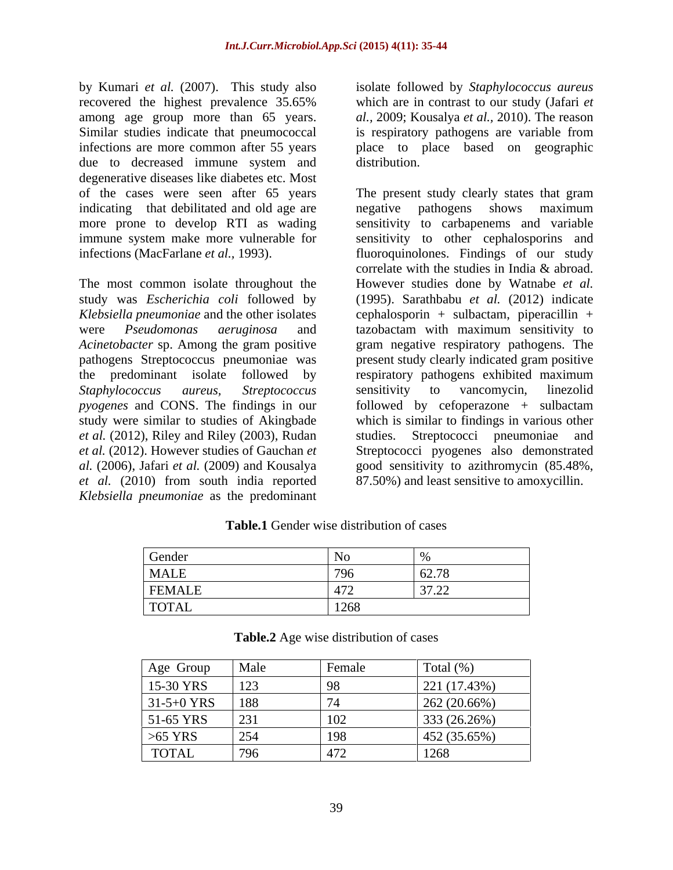by Kumari *et al.* (2007). This study also recovered the highest prevalence 35.65% among age group more than 65 years. Similar studies indicate that pneumococcal is respiratory pathogens are variable from infections are more common after 55 years place to place based on geographic due to decreased immune system and degenerative diseases like diabetes etc. Most indicating that debilitated and old age are negative pathogens shows maximum

study was *Escherichia coli* followed by *et al.* (2012), Riley and Riley (2003), Rudan *et al.* (2012). However studies of Gauchan *et et al.* (2010) from south india reported *Klebsiella pneumoniae* as the predominant

isolate followed by *Staphylococcus aureus* which are in contrast to our study (Jafari *et al.,* 2009; Kousalya *et al.,* 2010). The reason distribution.

of the cases were seen after 65 years The present study clearly states thatgram more prone to develop RTI as wading sensitivity to carbapenems and variable immune system make more vulnerable for sensitivity to other cephalosporins and infections (MacFarlane *et al.,* 1993). fluoroquinolones. Findings of our study The most common isolate throughout the However studies done by Watnabe *et al. Klebsiella pneumoniae* and the other isolates cephalosporin + sulbactam, piperacillin + were *Pseudomonas aeruginosa* and tazobactam with maximum sensitivity to *Acinetobacter* sp. Among the gram positive gram negative respiratory pathogens. The pathogens Streptococcus pneumoniae was present study clearly indicated gram positive the predominant isolate followed by respiratory pathogens exhibited maximum *Staphylococcus aureus, Streptococcus pyogenes* and CONS. The findings in our followed by cefoperazone + sulbactam study were similar to studies of Akingbade which is similar to findings in various other *al.* (2006), Jafari *et al.* (2009) and Kousalya good sensitivity to azithromycin (85.48%, negative pathogens shows maximum correlate with the studies in India & abroad. (1995). Sarathbabu *et al.* (2012) indicate sensitivity to vancomycin, linezolid studies. Streptococci pneumoniae and Streptococci pyogenes also demonstrated 87.50%) and least sensitive to amoxycillin.

| Gender        | .                                    |                      |
|---------------|--------------------------------------|----------------------|
| <b>MALE</b>   | $\sim$<br>1711                       | $\sim$ $\sim$ $\sim$ |
| <b>FEMALE</b> | $1 - \alpha$<br>1412                 | 27.22                |
| <b>TOTAL</b>  | $\sqrt{120}$<br>$\sim$ 1 $\sim$ 0.00 |                      |

**Table.1** Gender wise distribution of cases

| Age Group    | Male | Female | Total $(\%)$ |
|--------------|------|--------|--------------|
| 15-30 YRS    | 123  |        | 221 (17.43%) |
| $31-5+0$ YRS | 188  |        | 262 (20.66%) |
| 51-65 YRS    | 231  | 102    | 333 (26.26%) |
| $>65$ YRS    | 254  | 198    | 452 (35.65%) |
| <b>TOTAL</b> | 796  | 472    | 1268         |

**Table.2** Age wise distribution of cases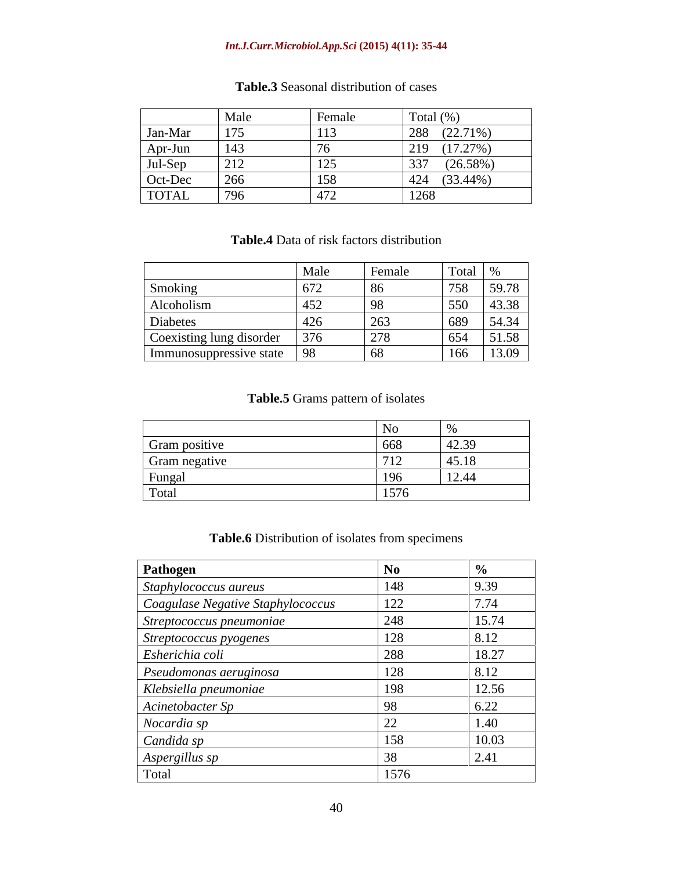#### *Int.J.Curr.Microbiol.App.Sci* **(2015) 4(11): 35-44**

|              | Male                                               | Female         | Total $(\%)$       |
|--------------|----------------------------------------------------|----------------|--------------------|
| Jan-Mar      | $\rightarrow$ $\rightarrow$ $\rightarrow$<br>1 I J | .              | $(22.71\%)$<br>288 |
| Apr-Jun      | 143                                                |                | $(17.27\%)$<br>219 |
| Jul-Sep      | 212                                                | ⊥∠J            | $(26.58\%)$<br>337 |
| Oct-Dec      | 266                                                | 1 5 S<br>1 J C | $(33.44\%)$<br>424 |
| <b>TOTAL</b> | 796                                                | 472            | 1268               |

# **Table.3** Seasonal distribution of cases

## **Table.4** Data of risk factors distribution

|                          | $M_01_2$ | uame <sup>1</sup> | . Total -                       |       |
|--------------------------|----------|-------------------|---------------------------------|-------|
| Smoking                  |          |                   | 700                             | 59.78 |
| Alcoholism               |          |                   | 550                             | 43.38 |
| Diabetes                 | ᠇∠∪      | $\sim$            | $\sim$ $\sim$                   | 54.34 |
| Coexisting lung disorder | 1.272    | $\sqrt{270}$      | $\epsilon$ $\epsilon$ $\lambda$ | 51.58 |
| Immunosuppressive state  |          |                   | $1\epsilon\epsilon$<br>1 UU     | 13.09 |

#### **Table.5** Grams pattern of isolates

| Gram posi    |        | $\Lambda$ $\cap$ $\Lambda$ |
|--------------|--------|----------------------------|
| Gram negativ | $-1$   | $\angle$ 15 10             |
| l Tunga      |        | 12.44                      |
|              | 10 I C |                            |

## **Table.6** Distribution of isolates from specimens

| Pathogen                          |     |                    |
|-----------------------------------|-----|--------------------|
| Staphylococcus aureus             |     | $\sim$ $\sim$      |
| Coagulase Negative Staphylococcus | 122 | 7.74               |
| Streptococcus pneumoniae          |     | 15.74              |
| Streptococcus pyogenes            |     | 8.12               |
| Esherichia coli                   |     | 18.27              |
| Pseudomonas aeruginosa            |     | 8.12               |
| Klebsiella pneumoniae             |     | 12.56              |
| Acinetobacter Sp                  |     | 5.22               |
| Nocardia sp                       |     | $\sqrt{40}$<br>.4U |
| Candida sp                        |     | 10.03              |
| Aspergillus sp                    |     | 2.41               |
|                                   |     |                    |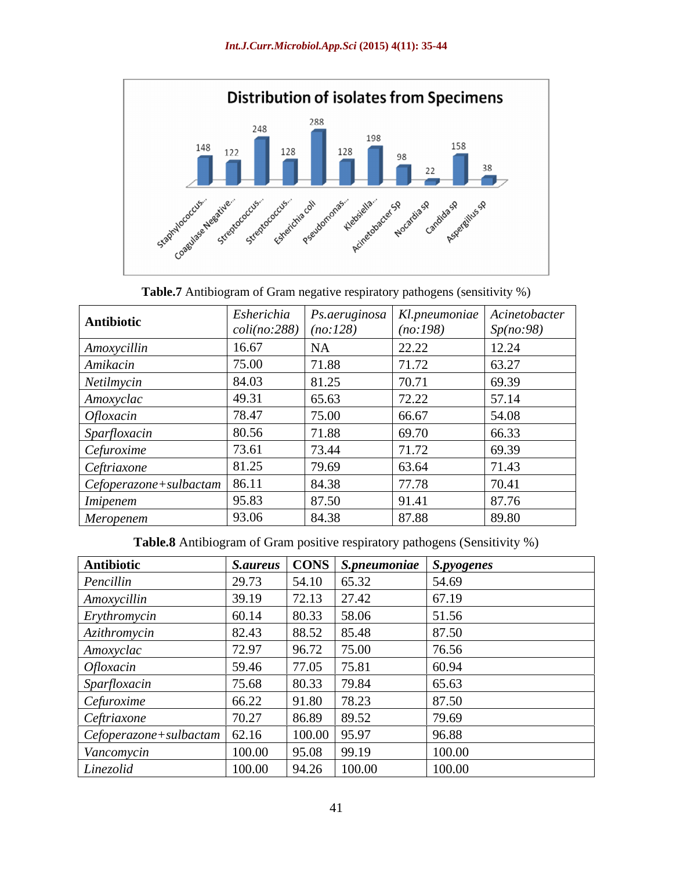

Table.7 Antibiogram of Gram negative respiratory pathogens (sensitivity %)

| Antibiotic                       | Esherichia<br>$coli(no:288)$ $(no:128)$ |       | $\vert$ Ps.aeruginosa $\vert$ Kl.pneumoniae $\vert$ Acinetobacter<br>(no:198) | Sp(no.98) |
|----------------------------------|-----------------------------------------|-------|-------------------------------------------------------------------------------|-----------|
| Amoxycillin                      | 16.67                                   | 15A   | 22.22                                                                         | 12.24     |
| Amikacin                         | 75.00                                   | 71.88 | 71.72                                                                         | 63.27     |
| Netilmycin                       | 84.03                                   | 81.25 | 70.71                                                                         | 69.39     |
| Amoxyclac                        | 49.31                                   | 65.63 | 72.22                                                                         | 57.14     |
| Ofloxacin                        | 78.47                                   | 75.00 | 66.67                                                                         | 54.08     |
| Sparfloxacin                     | 80.56                                   | 71.88 | 69.70                                                                         | 66.33     |
| Cefuroxime                       | 73.61                                   | 73.44 | 71.72                                                                         | 69.39     |
| Ceftriaxone                      | 81.25                                   | 79.69 | 63.64                                                                         | 71.43     |
| $Cefoperazone + sulbactam$ 86.11 |                                         | 84.38 | 77.78                                                                         | 70.41     |
| <i>Imipenem</i>                  | 95.83                                   | 87.50 | 91.41                                                                         | 87.76     |
| Meropenem                        | 93.06                                   | 84.38 | 87.88                                                                         | 89.80     |

**Table.8** Antibiogram of Gram positive respiratory pathogens (Sensitivity %)

| Antibiotic                       |        |                  | $ $ S.aureus $ $ CONS $ $ S.pneumoniae $ $ S.pyogenes |        |
|----------------------------------|--------|------------------|-------------------------------------------------------|--------|
| Pencillin                        | 29.73  | $54.10 \t 65.32$ |                                                       | 54.69  |
| Amoxycillin                      | 39.19  | $72.13$ 27.42    |                                                       | 67.19  |
| Erythromycin                     | 60.14  | $80.33$ 58.06    |                                                       | 51.56  |
| Azithromycin                     | 82.43  | 88.52 85.48      |                                                       | 87.50  |
| Amoxyclac                        | 72.97  | 96.72            | 75.00                                                 | 76.56  |
| Ofloxacin                        | 59.46  | 77.05            | 75.81                                                 | 60.94  |
| Sparfloxacin                     | 75.68  | 80.33            | 79.84                                                 | 65.63  |
| Cefuroxime                       | 66.22  | 91.80            | 78.23                                                 | 87.50  |
| Ceftriaxone                      | 70.27  | 86.89            | 89.52                                                 | 79.69  |
| $Cefoperazone + sulbactam$ 62.16 |        | $100.00$ 95.97   |                                                       | 96.88  |
| Vancomycin                       | 100.00 | $95.08$ 99.19    |                                                       | 100.00 |
| Linezolid                        | 100.00 | 94.26            | 100.00                                                | 100.00 |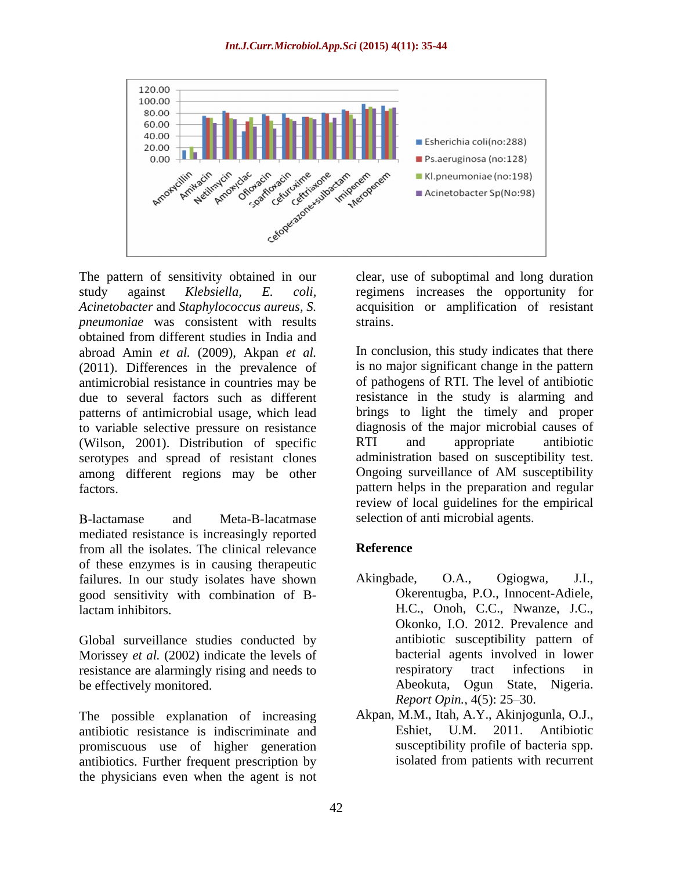

The pattern of sensitivity obtained in our study against *Klebsiella, E. coli,*  regimens increases the opportunity for *Acinetobacter* and *Staphylococcus aureus, S.* acquisition or amplification of resistant *pneumoniae* was consistent with results strains. obtained from different studies in India and abroad Amin *et al.* (2009), Akpan *et al.* (2011). Differences in the prevalence of antimicrobial resistance in countries may be patterns of antimicrobial usage, which lead to variable selective pressure on resistance diagnosis of the major microl<br>(Wilson, 2001). Distribution of specific RTI and appropriate (Wilson, 2001). Distribution of specific serotypes and spread of resistant clones administration based on susceptibility test.<br>
among different regions may be other Ongoing surveillance of AM susceptibility among different regions may be other

-lactamase and Meta-B-lacatmase selection of anti microbial agents. mediated resistance is increasingly reported from all the isolates. The clinical relevance Reference of these enzymes is in causing therapeutic failures. In our study isolates have shown Akingbade, O.A., Ogiogwa, J.I., good sensitivity with combination of Blactam inhibitors. H.C., Onoh, C.C., Nwanze, J.C.,

Global surveillance studies conducted by Morissey *et al.* (2002) indicate the levels of bacterial agresistance are alarmingly rising and needs to respiratory resistance are alarmingly rising and needs to respiratory tract infections in

The possible explanation of increasing Akpan, M.M., Itah, A.Y<br>antibiotic resistance is indiscriminate and Eshiet, U.M. antibiotic resistance is indiscriminate and Eshiet, U.M. 2011. Antibiotic promiscuous use of higher generation antibiotics. Further frequent prescription by the physicians even when the agent is not

clear, use of suboptimal and long duration strains.

due to several factors such as different resistance in the study is alarming and factors. pattern helps in the preparation and regular In conclusion, this study indicates that there is no major significant change in the pattern of pathogens of RTI. The level of antibiotic brings to light the timely and proper diagnosis of the major microbial causes of RTI and appropriate antibiotic administration based on susceptibility test. Ongoing surveillance of AM susceptibility review of local guidelines for the empirical

## **Reference**

- be effectively monitored. Abeokuta, Ogun State, Nigeria. Akingbade, O.A., Ogiogwa, J.I., Okerentugba, P.O., Innocent-Adiele, Okonko, I.O. 2012. Prevalence and antibiotic susceptibility pattern of bacterial agents involved in lower respiratory tract infections in *Report Opin.,* 4(5): 25–30.
	- Akpan, M.M., Itah, A.Y., Akinjogunla, O.J., Eshiet, U.M. 2011. Antibiotic susceptibility profile of bacteria spp. isolated from patients with recurrent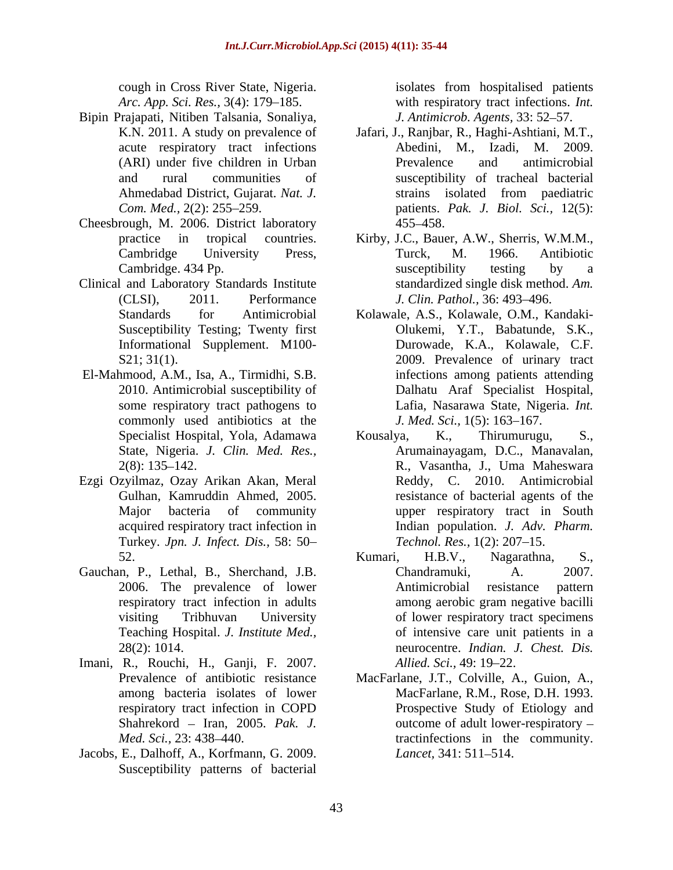cough in Cross River State, Nigeria.

- Bipin Prajapati, Nitiben Talsania, Sonaliya,
- Cheesbrough, M. 2006. District laboratory
- Clinical and Laboratory Standards Institute
- El-Mahmood, A.M., Isa, A., Tirmidhi, S.B. commonly used antibiotics at the *J. Med. Sci.*, 1(5): 163–167.
- Ezgi Ozyilmaz, Ozay Arikan Akan, Meral Turkey. *Jpn. J. Infect. Dis.,* 58: 50
- Gauchan, P., Lethal, B., Sherchand, J.B. Chandramuki, A. 2007. Teaching Hospital. *J. Institute Med.,*
- Imani, R., Rouchi, H., Ganji, F. 2007. *Allied. Sci.*, 49: 19–22. among bacteria isolates of lower
- Jacobs, E., Dalhoff, A., Korfmann, G. 2009. Susceptibility patterns of bacterial

*Arc. App. Sci. Res.,* 3(4): 179 185. with respiratory tract infections. *Int.*  isolates from hospitalised patients *J. Antimicrob. Agents, 33: 52-57.* 

- K.N. 2011. A study on prevalence of Jafari, J., Ranjbar, R., Haghi-Ashtiani, M.T., acute respiratory tract infections Abedini, M., Izadi, M. 2009. (ARI) under five children in Urban and rural communities of susceptibility of tracheal bacterial Ahmedabad District, Gujarat. *Nat. J.* strains isolated from paediatric *Com. Med.,* 2(2): 255 259. patients. *Pak. J. Biol. Sci.,* 12(5): Prevalence and antimicrobial strains isolated from paediatric 455 458.
- practice in tropical countries. Kirby, J.C., Bauer, A.W., Sherris, W.M.M., Cambridge University Press, Cambridge. 434 Pp. The contract of the susceptibility testing by a capacity of the contract of the contract of the susceptibility testing by a capacity of the contract of the contract of the contract of the contract of the (CLSI), 2011. Performance *J. Clin. Pathol.,* 36: 493 496. Turck, M. 1966. Antibiotic susceptibility testing by a standardized single disk method. *Am.*
- Standards for Antimicrobial Kolawale, A.S., Kolawale, O.M., Kandaki- Susceptibility Testing; Twenty first Olukemi, Y.T., Babatunde, S.K., Informational Supplement. M100- Durowade, K.A., Kolawale, C.F. S21; 31(1). 2009. Prevalence of urinary tract 2010. Antimicrobial susceptibility of Dalhatu Araf Specialist Hospital, some respiratory tract pathogens to Lafia, Nasarawa State, Nigeria. *Int.*  infections among patients attending *J. Med. Sci.,* 1(5): 163–167.
- Specialist Hospital, Yola, Adamawa Kousalya, K., Thirumurugu, S., State, Nigeria. *J. Clin. Med. Res.,* Arumainayagam, D.C., Manavalan, 2(8): 135 142. R., Vasantha, J., Uma Maheswara Gulhan, Kamruddin Ahmed, 2005. resistance of bacterial agents of the Major bacteria of community upper respiratory tract in South acquired respiratory tract infection in Indian population. *J. Adv. Pharm.* Kousalya, K., Thirumurugu, S., Reddy, C. 2010. Antimicrobial *Technol. Res.,* 1(2): 207-15.
- 52. Kumari, H.B.V., Nagarathna, S., 2006. The prevalence of lower **and Antimicrobial** resistance pattern respiratory tract infection in adults among aerobic gram negative bacilli visiting Tribhuvan University of lower respiratory tract specimens 28(2): 1014. neurocentre. *Indian. J. Chest. Dis.* Kumari, H.B.V., Nagarathna, S., Chandramuki, A. 2007. Antimicrobial resistance pattern among aerobic gram negative bacilli of intensive care unit patients in a *Allied. Sci.,* 49: 19–22.
- Prevalence of antibiotic resistance MacFarlane, J.T., Colville, A., Guion, A., respiratory tract infection in COPD Shahrekord – Iran, 2005. *Pak. J.* outcome of adult lower-respiratory – *Med. Sci.,* 23: 438–440. MacFarlane, R.M., Rose, D.H. 1993. Prospective Study of Etiology and *Lancet,* 341: 511–514.